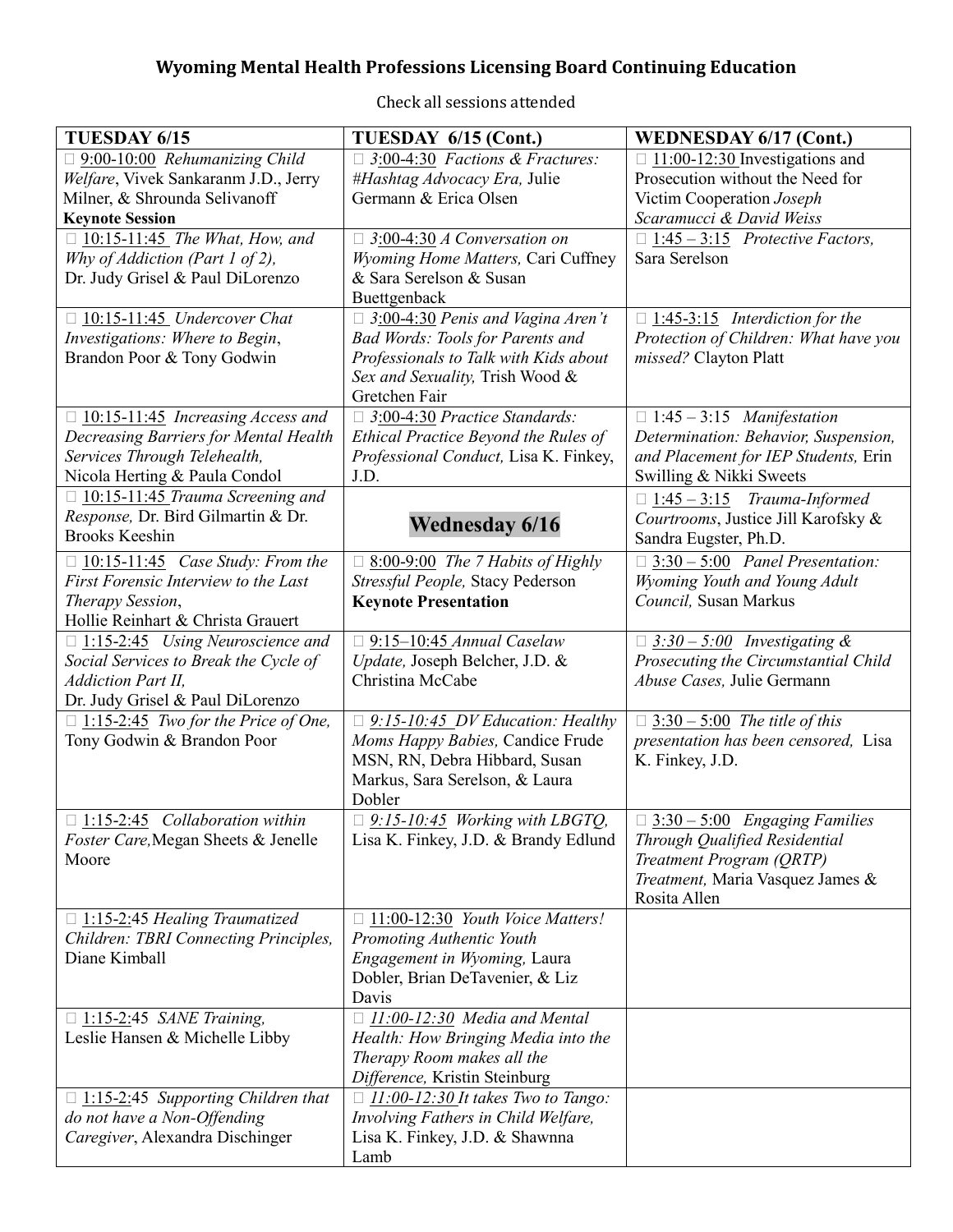# **Wyoming Mental Health Professions Licensing Board Continuing Education**

| TUESDAY 6/15                                                          | TUESDAY 6/15 (Cont.)                               | <b>WEDNESDAY 6/17 (Cont.)</b>                                      |
|-----------------------------------------------------------------------|----------------------------------------------------|--------------------------------------------------------------------|
| $\Box$ 9:00-10:00 Rehumanizing Child                                  | $\Box$ 3:00-4:30 Factions & Fractures:             | $\Box$ 11:00-12:30 Investigations and                              |
| Welfare, Vivek Sankaranm J.D., Jerry                                  | #Hashtag Advocacy Era, Julie                       | Prosecution without the Need for                                   |
| Milner, & Shrounda Selivanoff                                         | Germann & Erica Olsen                              | Victim Cooperation Joseph                                          |
| <b>Keynote Session</b>                                                |                                                    | Scaramucci & David Weiss                                           |
| $\Box$ 10:15-11:45 The What, How, and                                 | $\Box$ 3:00-4:30 A Conversation on                 | $\Box$ 1:45 - 3:15 Protective Factors,                             |
| Why of Addiction (Part 1 of 2),                                       | Wyoming Home Matters, Cari Cuffney                 | Sara Serelson                                                      |
| Dr. Judy Grisel & Paul DiLorenzo                                      | & Sara Serelson & Susan                            |                                                                    |
|                                                                       | Buettgenback                                       |                                                                    |
| $\Box$ 10:15-11:45 Undercover Chat                                    | $\Box$ 3:00-4:30 Penis and Vagina Aren't           | $\Box$ 1:45-3:15 Interdiction for the                              |
| Investigations: Where to Begin,                                       | <b>Bad Words: Tools for Parents and</b>            | Protection of Children: What have you                              |
| Brandon Poor & Tony Godwin                                            | Professionals to Talk with Kids about              | missed? Clayton Platt                                              |
|                                                                       | Sex and Sexuality, Trish Wood &<br>Gretchen Fair   |                                                                    |
|                                                                       | $\Box$ 3:00-4:30 Practice Standards:               | $\Box$ 1:45 - 3:15 <i>Manifestation</i>                            |
| $\Box$ 10:15-11:45 Increasing Access and                              | Ethical Practice Beyond the Rules of               | Determination: Behavior, Suspension,                               |
| Decreasing Barriers for Mental Health<br>Services Through Telehealth, | Professional Conduct, Lisa K. Finkey,              | and Placement for IEP Students, Erin                               |
| Nicola Herting & Paula Condol                                         | J.D.                                               | Swilling & Nikki Sweets                                            |
| $\Box$ 10:15-11:45 Trauma Screening and                               |                                                    |                                                                    |
| Response, Dr. Bird Gilmartin & Dr.                                    |                                                    | $\Box$ 1:45 - 3:15 Trauma-Informed                                 |
| <b>Brooks Keeshin</b>                                                 | <b>Wednesday 6/16</b>                              | Courtrooms, Justice Jill Karofsky &<br>Sandra Eugster, Ph.D.       |
|                                                                       |                                                    |                                                                    |
| $\Box$ 10:15-11:45 <i>Case Study: From the</i>                        | $\Box$ 8:00-9:00 The 7 Habits of Highly            | $\Box$ 3:30 – 5:00 Panel Presentation:                             |
| First Forensic Interview to the Last                                  | Stressful People, Stacy Pederson                   | Wyoming Youth and Young Adult                                      |
| Therapy Session,                                                      | <b>Keynote Presentation</b>                        | Council, Susan Markus                                              |
| Hollie Reinhart & Christa Grauert                                     |                                                    |                                                                    |
| $\Box$ 1:15-2:45 Using Neuroscience and                               | $\Box$ 9:15-10:45 Annual Caselaw                   | $\Box$ 3:30 - 5:00 Investigating &                                 |
| Social Services to Break the Cycle of                                 | Update, Joseph Belcher, J.D. &<br>Christina McCabe | Prosecuting the Circumstantial Child<br>Abuse Cases, Julie Germann |
| <b>Addiction Part II,</b><br>Dr. Judy Grisel & Paul DiLorenzo         |                                                    |                                                                    |
| $\Box$ 1:15-2:45 Two for the Price of One,                            | $\Box$ 9:15-10:45 DV Education: Healthy            | $\Box$ 3:30 - 5:00 The title of this                               |
| Tony Godwin & Brandon Poor                                            | Moms Happy Babies, Candice Frude                   | presentation has been censored, Lisa                               |
|                                                                       | MSN, RN, Debra Hibbard, Susan                      | K. Finkey, J.D.                                                    |
|                                                                       | Markus, Sara Serelson, & Laura                     |                                                                    |
|                                                                       | Dobler                                             |                                                                    |
| $\Box$ 1:15-2:45 <i>Collaboration within</i>                          | $\Box$ 9:15-10:45 Working with LBGTQ,              | $\Box$ 3:30 - 5:00 Engaging Families                               |
| Foster Care, Megan Sheets & Jenelle                                   | Lisa K. Finkey, J.D. & Brandy Edlund               | Through Qualified Residential                                      |
| Moore                                                                 |                                                    | Treatment Program (QRTP)                                           |
|                                                                       |                                                    | Treatment, Maria Vasquez James &                                   |
|                                                                       |                                                    | Rosita Allen                                                       |
| $\Box$ 1:15-2:45 Healing Traumatized                                  | $\Box$ 11:00-12:30 Youth Voice Matters!            |                                                                    |
| Children: TBRI Connecting Principles,                                 | Promoting Authentic Youth                          |                                                                    |
| Diane Kimball                                                         | Engagement in Wyoming, Laura                       |                                                                    |
|                                                                       | Dobler, Brian DeTavenier, & Liz                    |                                                                    |
|                                                                       | Davis                                              |                                                                    |
| $\Box$ 1:15-2:45 SANE Training,                                       | $\Box$ 11:00-12:30 Media and Mental                |                                                                    |
| Leslie Hansen & Michelle Libby                                        | Health: How Bringing Media into the                |                                                                    |
|                                                                       | Therapy Room makes all the                         |                                                                    |
|                                                                       | Difference, Kristin Steinburg                      |                                                                    |
| $\Box$ 1:15-2:45 Supporting Children that                             | $\Box$ 11:00-12:30 It takes Two to Tango:          |                                                                    |
| do not have a Non-Offending                                           | Involving Fathers in Child Welfare,                |                                                                    |
| Caregiver, Alexandra Dischinger                                       | Lisa K. Finkey, J.D. & Shawnna                     |                                                                    |
|                                                                       | Lamb                                               |                                                                    |

Check all sessions attended